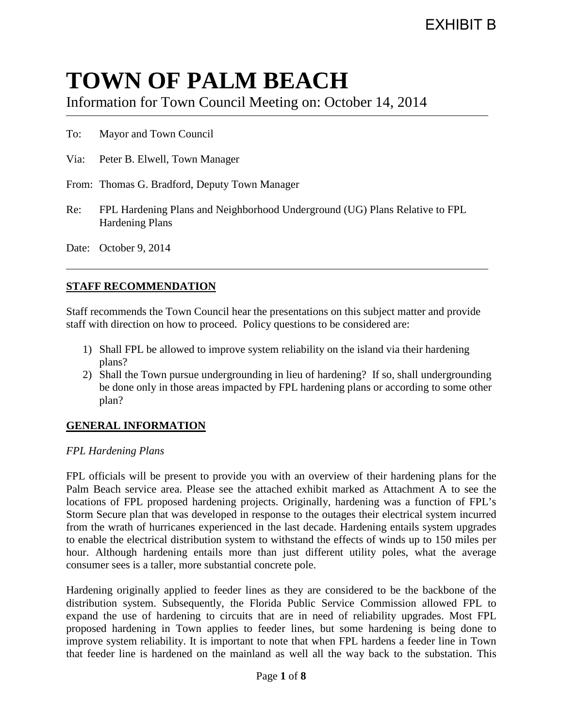# **TOWN OF PALM BEACH**

Information for Town Council Meeting on: October 14, 2014

To: Mayor and Town Council

Via: Peter B. Elwell, Town Manager

- From: Thomas G. Bradford, Deputy Town Manager
- Re: FPL Hardening Plans and Neighborhood Underground (UG) Plans Relative to FPL Hardening Plans

Date: October 9, 2014

# **STAFF RECOMMENDATION**

Staff recommends the Town Council hear the presentations on this subject matter and provide staff with direction on how to proceed. Policy questions to be considered are:

- 1) Shall FPL be allowed to improve system reliability on the island via their hardening plans?
- 2) Shall the Town pursue undergrounding in lieu of hardening? If so, shall undergrounding be done only in those areas impacted by FPL hardening plans or according to some other plan?

# **GENERAL INFORMATION**

#### *FPL Hardening Plans*

FPL officials will be present to provide you with an overview of their hardening plans for the Palm Beach service area. Please see the attached exhibit marked as Attachment A to see the locations of FPL proposed hardening projects. Originally, hardening was a function of FPL's Storm Secure plan that was developed in response to the outages their electrical system incurred from the wrath of hurricanes experienced in the last decade. Hardening entails system upgrades to enable the electrical distribution system to withstand the effects of winds up to 150 miles per hour. Although hardening entails more than just different utility poles, what the average consumer sees is a taller, more substantial concrete pole.

Hardening originally applied to feeder lines as they are considered to be the backbone of the distribution system. Subsequently, the Florida Public Service Commission allowed FPL to expand the use of hardening to circuits that are in need of reliability upgrades. Most FPL proposed hardening in Town applies to feeder lines, but some hardening is being done to improve system reliability. It is important to note that when FPL hardens a feeder line in Town that feeder line is hardened on the mainland as well all the way back to the substation. This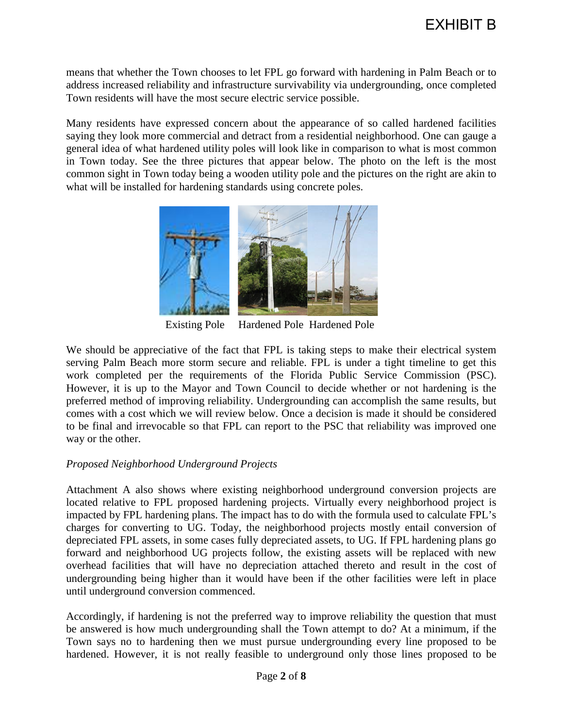means that whether the Town chooses to let FPL go forward with hardening in Palm Beach or to address increased reliability and infrastructure survivability via undergrounding, once completed Town residents will have the most secure electric service possible.

Many residents have expressed concern about the appearance of so called hardened facilities saying they look more commercial and detract from a residential neighborhood. One can gauge a general idea of what hardened utility poles will look like in comparison to what is most common in Town today. See the three pictures that appear below. The photo on the left is the most common sight in Town today being a wooden utility pole and the pictures on the right are akin to what will be installed for hardening standards using concrete poles.



Existing Pole Hardened Pole Hardened Pole

We should be appreciative of the fact that FPL is taking steps to make their electrical system serving Palm Beach more storm secure and reliable. FPL is under a tight timeline to get this work completed per the requirements of the Florida Public Service Commission (PSC). However, it is up to the Mayor and Town Council to decide whether or not hardening is the preferred method of improving reliability. Undergrounding can accomplish the same results, but comes with a cost which we will review below. Once a decision is made it should be considered to be final and irrevocable so that FPL can report to the PSC that reliability was improved one way or the other.

# *Proposed Neighborhood Underground Projects*

Attachment A also shows where existing neighborhood underground conversion projects are located relative to FPL proposed hardening projects. Virtually every neighborhood project is impacted by FPL hardening plans. The impact has to do with the formula used to calculate FPL's charges for converting to UG. Today, the neighborhood projects mostly entail conversion of depreciated FPL assets, in some cases fully depreciated assets, to UG. If FPL hardening plans go forward and neighborhood UG projects follow, the existing assets will be replaced with new overhead facilities that will have no depreciation attached thereto and result in the cost of undergrounding being higher than it would have been if the other facilities were left in place until underground conversion commenced.

Accordingly, if hardening is not the preferred way to improve reliability the question that must be answered is how much undergrounding shall the Town attempt to do? At a minimum, if the Town says no to hardening then we must pursue undergrounding every line proposed to be hardened. However, it is not really feasible to underground only those lines proposed to be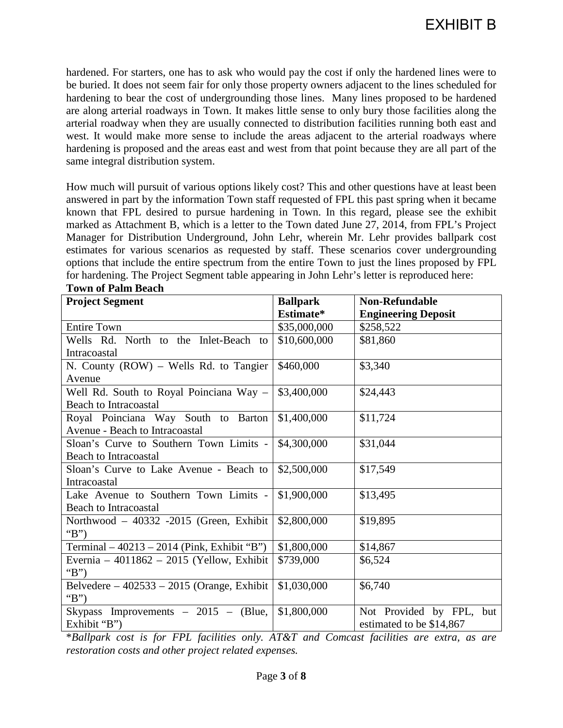hardened. For starters, one has to ask who would pay the cost if only the hardened lines were to be buried. It does not seem fair for only those property owners adjacent to the lines scheduled for hardening to bear the cost of undergrounding those lines. Many lines proposed to be hardened are along arterial roadways in Town. It makes little sense to only bury those facilities along the arterial roadway when they are usually connected to distribution facilities running both east and west. It would make more sense to include the areas adjacent to the arterial roadways where hardening is proposed and the areas east and west from that point because they are all part of the same integral distribution system.

How much will pursuit of various options likely cost? This and other questions have at least been answered in part by the information Town staff requested of FPL this past spring when it became known that FPL desired to pursue hardening in Town. In this regard, please see the exhibit marked as Attachment B, which is a letter to the Town dated June 27, 2014, from FPL's Project Manager for Distribution Underground, John Lehr, wherein Mr. Lehr provides ballpark cost estimates for various scenarios as requested by staff. These scenarios cover undergrounding options that include the entire spectrum from the entire Town to just the lines proposed by FPL for hardening. The Project Segment table appearing in John Lehr's letter is reproduced here: **Town of Palm Beach**

| <b>Project Segment</b>                       | <b>Ballpark</b> | <b>Non-Refundable</b>      |  |  |
|----------------------------------------------|-----------------|----------------------------|--|--|
|                                              | Estimate*       | <b>Engineering Deposit</b> |  |  |
| <b>Entire Town</b>                           | \$35,000,000    | \$258,522                  |  |  |
| Wells Rd. North to the Inlet-Beach to        | \$10,600,000    | \$81,860                   |  |  |
| Intracoastal                                 |                 |                            |  |  |
| N. County (ROW) – Wells Rd. to Tangier       | \$460,000       | \$3,340                    |  |  |
| Avenue                                       |                 |                            |  |  |
| Well Rd. South to Royal Poinciana Way -      | \$3,400,000     | \$24,443                   |  |  |
| <b>Beach to Intracoastal</b>                 |                 |                            |  |  |
| Royal Poinciana Way South to Barton          | \$1,400,000     | \$11,724                   |  |  |
| Avenue - Beach to Intracoastal               |                 |                            |  |  |
| Sloan's Curve to Southern Town Limits -      | \$4,300,000     | \$31,044                   |  |  |
| Beach to Intracoastal                        |                 |                            |  |  |
| Sloan's Curve to Lake Avenue - Beach to      | \$2,500,000     | \$17,549                   |  |  |
| Intracoastal                                 |                 |                            |  |  |
| Lake Avenue to Southern Town Limits -        | \$1,900,000     | \$13,495                   |  |  |
| <b>Beach to Intracoastal</b>                 |                 |                            |  |  |
| Northwood - 40332 -2015 (Green, Exhibit      | \$2,800,000     | \$19,895                   |  |  |
| " $B$ "                                      |                 |                            |  |  |
| Terminal - 40213 - 2014 (Pink, Exhibit "B")  | \$1,800,000     | \$14,867                   |  |  |
| Evernia – 4011862 – 2015 (Yellow, Exhibit    | \$739,000       | \$6,524                    |  |  |
| "B")                                         |                 |                            |  |  |
| Belvedere – $402533 - 2015$ (Orange, Exhibit | \$1,030,000     | \$6,740                    |  |  |
| "B")                                         |                 |                            |  |  |
| Skypass Improvements $-2015 - (Blue,$        | \$1,800,000     | Not Provided by FPL, but   |  |  |
| Exhibit "B")                                 |                 | estimated to be \$14,867   |  |  |

\**Ballpark cost is for FPL facilities only. AT&T and Comcast facilities are extra, as are restoration costs and other project related expenses.*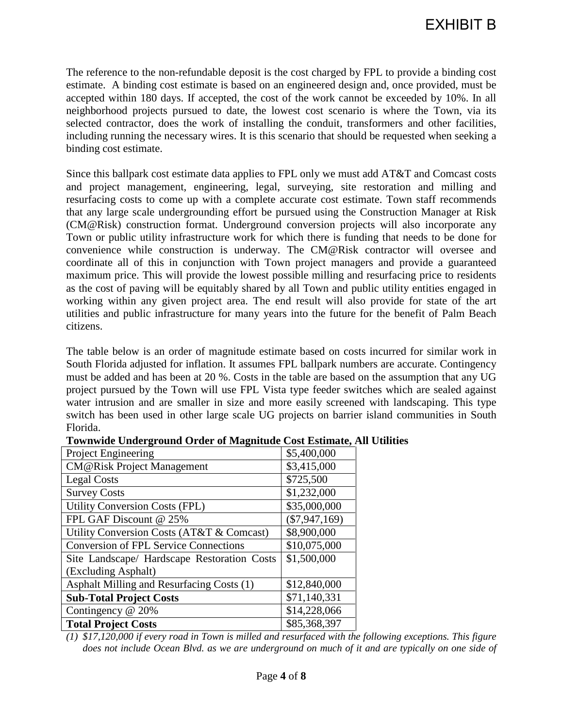The reference to the non-refundable deposit is the cost charged by FPL to provide a binding cost estimate. A binding cost estimate is based on an engineered design and, once provided, must be accepted within 180 days. If accepted, the cost of the work cannot be exceeded by 10%. In all neighborhood projects pursued to date, the lowest cost scenario is where the Town, via its selected contractor, does the work of installing the conduit, transformers and other facilities, including running the necessary wires. It is this scenario that should be requested when seeking a binding cost estimate.

Since this ballpark cost estimate data applies to FPL only we must add AT&T and Comcast costs and project management, engineering, legal, surveying, site restoration and milling and resurfacing costs to come up with a complete accurate cost estimate. Town staff recommends that any large scale undergrounding effort be pursued using the Construction Manager at Risk (CM@Risk) construction format. Underground conversion projects will also incorporate any Town or public utility infrastructure work for which there is funding that needs to be done for convenience while construction is underway. The CM@Risk contractor will oversee and coordinate all of this in conjunction with Town project managers and provide a guaranteed maximum price. This will provide the lowest possible milling and resurfacing price to residents as the cost of paving will be equitably shared by all Town and public utility entities engaged in working within any given project area. The end result will also provide for state of the art utilities and public infrastructure for many years into the future for the benefit of Palm Beach citizens.

The table below is an order of magnitude estimate based on costs incurred for similar work in South Florida adjusted for inflation. It assumes FPL ballpark numbers are accurate. Contingency must be added and has been at 20 %. Costs in the table are based on the assumption that any UG project pursued by the Town will use FPL Vista type feeder switches which are sealed against water intrusion and are smaller in size and more easily screened with landscaping. This type switch has been used in other large scale UG projects on barrier island communities in South Florida.

| <b>Project Engineering</b>                   | \$5,400,000     |
|----------------------------------------------|-----------------|
| <b>CM@Risk Project Management</b>            | \$3,415,000     |
| <b>Legal Costs</b>                           | \$725,500       |
| <b>Survey Costs</b>                          | \$1,232,000     |
| <b>Utility Conversion Costs (FPL)</b>        | \$35,000,000    |
| FPL GAF Discount @ 25%                       | $(\$7,947,169)$ |
| Utility Conversion Costs (AT&T & Comcast)    | \$8,900,000     |
| <b>Conversion of FPL Service Connections</b> | \$10,075,000    |
| Site Landscape/ Hardscape Restoration Costs  | \$1,500,000     |
| (Excluding Asphalt)                          |                 |
| Asphalt Milling and Resurfacing Costs (1)    | \$12,840,000    |
| <b>Sub-Total Project Costs</b>               | \$71,140,331    |
| Contingency @ 20%                            | \$14,228,066    |
| <b>Total Project Costs</b>                   | \$85,368,397    |

#### **Townwide Underground Order of Magnitude Cost Estimate, All Utilities**

*(1) \$17,120,000 if every road in Town is milled and resurfaced with the following exceptions. This figure does not include Ocean Blvd. as we are underground on much of it and are typically on one side of*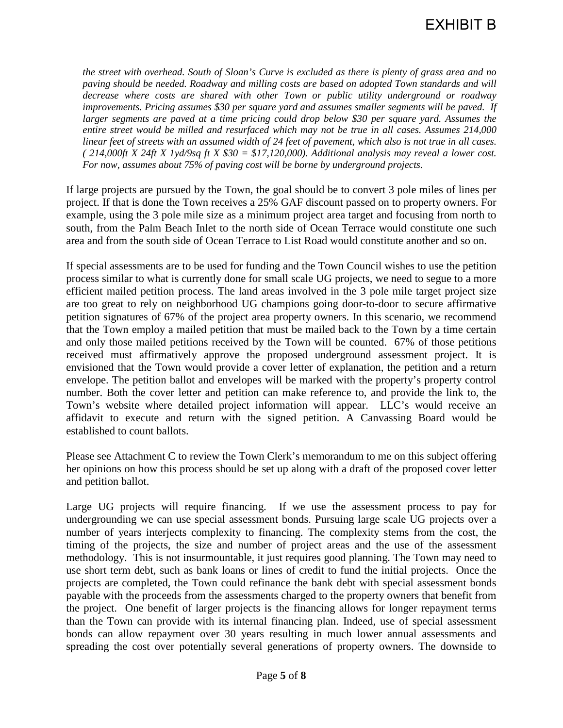*the street with overhead. South of Sloan's Curve is excluded as there is plenty of grass area and no paving should be needed. Roadway and milling costs are based on adopted Town standards and will decrease where costs are shared with other Town or public utility underground or roadway improvements. Pricing assumes \$30 per square yard and assumes smaller segments will be paved. If*  larger segments are paved at a time pricing could drop below \$30 per square yard. Assumes the *entire street would be milled and resurfaced which may not be true in all cases. Assumes 214,000 linear feet of streets with an assumed width of 24 feet of pavement, which also is not true in all cases. ( 214,000ft X 24ft X 1yd/9sq ft X \$30 = \$17,120,000). Additional analysis may reveal a lower cost. For now, assumes about 75% of paving cost will be borne by underground projects.* 

If large projects are pursued by the Town, the goal should be to convert 3 pole miles of lines per project. If that is done the Town receives a 25% GAF discount passed on to property owners. For example, using the 3 pole mile size as a minimum project area target and focusing from north to south, from the Palm Beach Inlet to the north side of Ocean Terrace would constitute one such area and from the south side of Ocean Terrace to List Road would constitute another and so on.

If special assessments are to be used for funding and the Town Council wishes to use the petition process similar to what is currently done for small scale UG projects, we need to segue to a more efficient mailed petition process. The land areas involved in the 3 pole mile target project size are too great to rely on neighborhood UG champions going door-to-door to secure affirmative petition signatures of 67% of the project area property owners. In this scenario, we recommend that the Town employ a mailed petition that must be mailed back to the Town by a time certain and only those mailed petitions received by the Town will be counted. 67% of those petitions received must affirmatively approve the proposed underground assessment project. It is envisioned that the Town would provide a cover letter of explanation, the petition and a return envelope. The petition ballot and envelopes will be marked with the property's property control number. Both the cover letter and petition can make reference to, and provide the link to, the Town's website where detailed project information will appear. LLC's would receive an affidavit to execute and return with the signed petition. A Canvassing Board would be established to count ballots.

Please see Attachment C to review the Town Clerk's memorandum to me on this subject offering her opinions on how this process should be set up along with a draft of the proposed cover letter and petition ballot.

Large UG projects will require financing. If we use the assessment process to pay for undergrounding we can use special assessment bonds. Pursuing large scale UG projects over a number of years interjects complexity to financing. The complexity stems from the cost, the timing of the projects, the size and number of project areas and the use of the assessment methodology. This is not insurmountable, it just requires good planning. The Town may need to use short term debt, such as bank loans or lines of credit to fund the initial projects. Once the projects are completed, the Town could refinance the bank debt with special assessment bonds payable with the proceeds from the assessments charged to the property owners that benefit from the project. One benefit of larger projects is the financing allows for longer repayment terms than the Town can provide with its internal financing plan. Indeed, use of special assessment bonds can allow repayment over 30 years resulting in much lower annual assessments and spreading the cost over potentially several generations of property owners. The downside to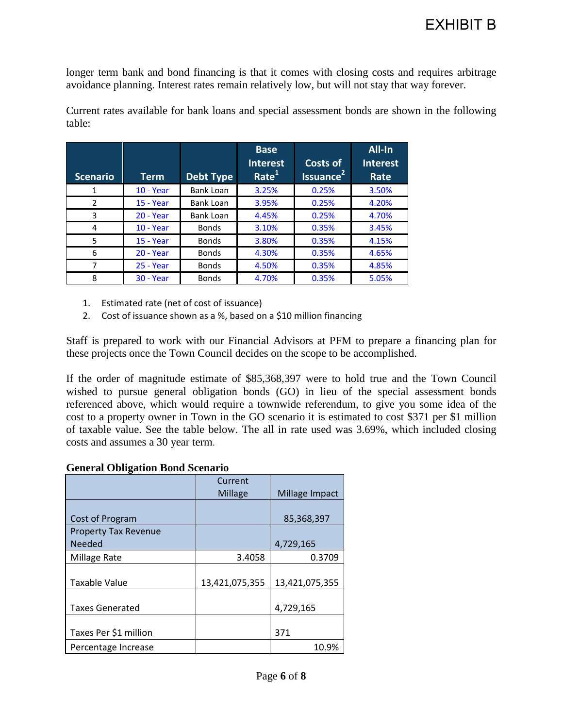longer term bank and bond financing is that it comes with closing costs and requires arbitrage avoidance planning. Interest rates remain relatively low, but will not stay that way forever.

| <b>Scenario</b> | Term             | <b>Debt Type</b> | <b>Base</b><br><b>Interest</b><br>Rate <sup>1</sup> | <b>Costs of</b><br>Issuance <sup>21</sup> | All-In<br><b>Interest</b><br>Rate |
|-----------------|------------------|------------------|-----------------------------------------------------|-------------------------------------------|-----------------------------------|
| 1               | <b>10 - Year</b> | Bank Loan        | 3.25%                                               | 0.25%                                     | 3.50%                             |
| $\mathfrak{p}$  | $15 - Year$      | Bank Loan        | 3.95%                                               | 0.25%                                     | 4.20%                             |
| 3               | $20 - Year$      | Bank Loan        | 4.45%                                               | 0.25%                                     | 4.70%                             |
| 4               | $10 - Year$      | <b>Bonds</b>     | 3.10%                                               | 0.35%                                     | 3.45%                             |
| 5               | <b>15 - Year</b> | <b>Bonds</b>     | 3.80%                                               | 0.35%                                     | 4.15%                             |
| 6               | $20 - Year$      | <b>Bonds</b>     | 4.30%                                               | 0.35%                                     | 4.65%                             |
| 7               | <b>25 - Year</b> | <b>Bonds</b>     | 4.50%                                               | 0.35%                                     | 4.85%                             |
| 8               | <b>30 - Year</b> | <b>Bonds</b>     | 4.70%                                               | 0.35%                                     | 5.05%                             |

Current rates available for bank loans and special assessment bonds are shown in the following table:

- 1. Estimated rate (net of cost of issuance)
- 2. Cost of issuance shown as a %, based on a \$10 million financing

Staff is prepared to work with our Financial Advisors at PFM to prepare a financing plan for these projects once the Town Council decides on the scope to be accomplished.

If the order of magnitude estimate of \$85,368,397 were to hold true and the Town Council wished to pursue general obligation bonds (GO) in lieu of the special assessment bonds referenced above, which would require a townwide referendum, to give you some idea of the cost to a property owner in Town in the GO scenario it is estimated to cost \$371 per \$1 million of taxable value. See the table below. The all in rate used was 3.69%, which included closing costs and assumes a 30 year term.

#### **General Obligation Bond Scenario**

|                             | Current        |                |
|-----------------------------|----------------|----------------|
|                             | <b>Millage</b> | Millage Impact |
|                             |                |                |
| Cost of Program             |                | 85,368,397     |
| <b>Property Tax Revenue</b> |                |                |
| <b>Needed</b>               |                | 4,729,165      |
| Millage Rate                | 3.4058         | 0.3709         |
|                             |                |                |
| <b>Taxable Value</b>        | 13,421,075,355 | 13,421,075,355 |
|                             |                |                |
| <b>Taxes Generated</b>      |                | 4,729,165      |
|                             |                |                |
| Taxes Per \$1 million       |                | 371            |
| Percentage Increase         |                | 10.9%          |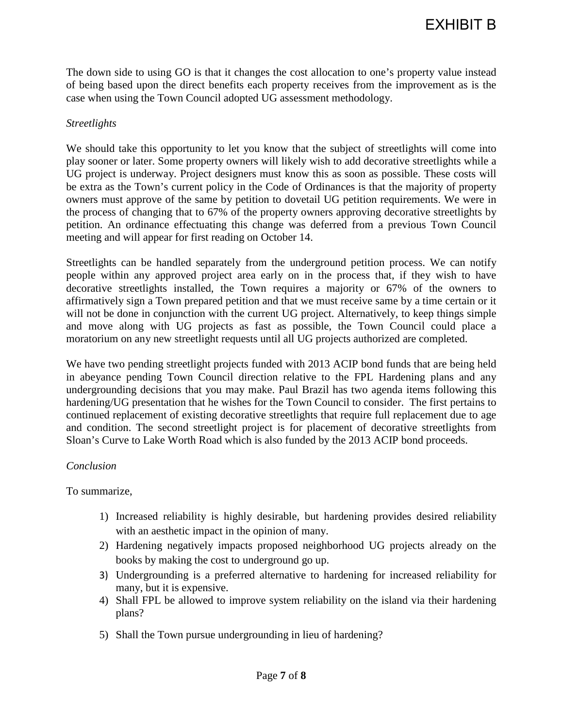The down side to using GO is that it changes the cost allocation to one's property value instead of being based upon the direct benefits each property receives from the improvement as is the case when using the Town Council adopted UG assessment methodology.

### *Streetlights*

We should take this opportunity to let you know that the subject of streetlights will come into play sooner or later. Some property owners will likely wish to add decorative streetlights while a UG project is underway. Project designers must know this as soon as possible. These costs will be extra as the Town's current policy in the Code of Ordinances is that the majority of property owners must approve of the same by petition to dovetail UG petition requirements. We were in the process of changing that to 67% of the property owners approving decorative streetlights by petition. An ordinance effectuating this change was deferred from a previous Town Council meeting and will appear for first reading on October 14.

Streetlights can be handled separately from the underground petition process. We can notify people within any approved project area early on in the process that, if they wish to have decorative streetlights installed, the Town requires a majority or 67% of the owners to affirmatively sign a Town prepared petition and that we must receive same by a time certain or it will not be done in conjunction with the current UG project. Alternatively, to keep things simple and move along with UG projects as fast as possible, the Town Council could place a moratorium on any new streetlight requests until all UG projects authorized are completed.

We have two pending streetlight projects funded with 2013 ACIP bond funds that are being held in abeyance pending Town Council direction relative to the FPL Hardening plans and any undergrounding decisions that you may make. Paul Brazil has two agenda items following this hardening/UG presentation that he wishes for the Town Council to consider. The first pertains to continued replacement of existing decorative streetlights that require full replacement due to age and condition. The second streetlight project is for placement of decorative streetlights from Sloan's Curve to Lake Worth Road which is also funded by the 2013 ACIP bond proceeds.

#### *Conclusion*

To summarize,

- 1) Increased reliability is highly desirable, but hardening provides desired reliability with an aesthetic impact in the opinion of many.
- 2) Hardening negatively impacts proposed neighborhood UG projects already on the books by making the cost to underground go up.
- 3) Undergrounding is a preferred alternative to hardening for increased reliability for many, but it is expensive.
- 4) Shall FPL be allowed to improve system reliability on the island via their hardening plans?
- 5) Shall the Town pursue undergrounding in lieu of hardening?